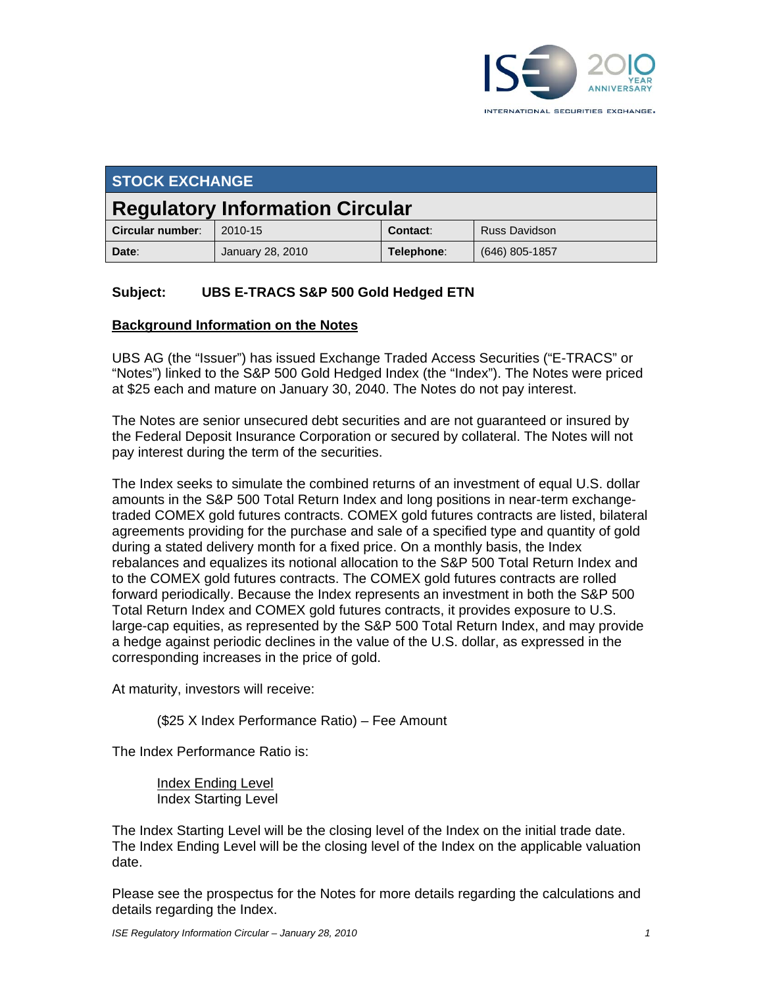

| <b>STOCK EXCHANGE</b>                  |                  |            |                      |
|----------------------------------------|------------------|------------|----------------------|
| <b>Regulatory Information Circular</b> |                  |            |                      |
| Circular number:                       | 2010-15          | Contact:   | <b>Russ Davidson</b> |
| Date:                                  | January 28, 2010 | Telephone: | $(646)$ 805-1857     |

## **Subject: UBS E-TRACS S&P 500 Gold Hedged ETN**

#### **Background Information on the Notes**

UBS AG (the "Issuer") has issued Exchange Traded Access Securities ("E-TRACS" or "Notes") linked to the S&P 500 Gold Hedged Index (the "Index"). The Notes were priced at \$25 each and mature on January 30, 2040. The Notes do not pay interest.

The Notes are senior unsecured debt securities and are not guaranteed or insured by the Federal Deposit Insurance Corporation or secured by collateral. The Notes will not pay interest during the term of the securities.

The Index seeks to simulate the combined returns of an investment of equal U.S. dollar amounts in the S&P 500 Total Return Index and long positions in near-term exchangetraded COMEX gold futures contracts. COMEX gold futures contracts are listed, bilateral agreements providing for the purchase and sale of a specified type and quantity of gold during a stated delivery month for a fixed price. On a monthly basis, the Index rebalances and equalizes its notional allocation to the S&P 500 Total Return Index and to the COMEX gold futures contracts. The COMEX gold futures contracts are rolled forward periodically. Because the Index represents an investment in both the S&P 500 Total Return Index and COMEX gold futures contracts, it provides exposure to U.S. large-cap equities, as represented by the S&P 500 Total Return Index, and may provide a hedge against periodic declines in the value of the U.S. dollar, as expressed in the corresponding increases in the price of gold.

At maturity, investors will receive:

(\$25 X Index Performance Ratio) – Fee Amount

The Index Performance Ratio is:

Index Ending Level Index Starting Level

The Index Starting Level will be the closing level of the Index on the initial trade date. The Index Ending Level will be the closing level of the Index on the applicable valuation date.

Please see the prospectus for the Notes for more details regarding the calculations and details regarding the Index.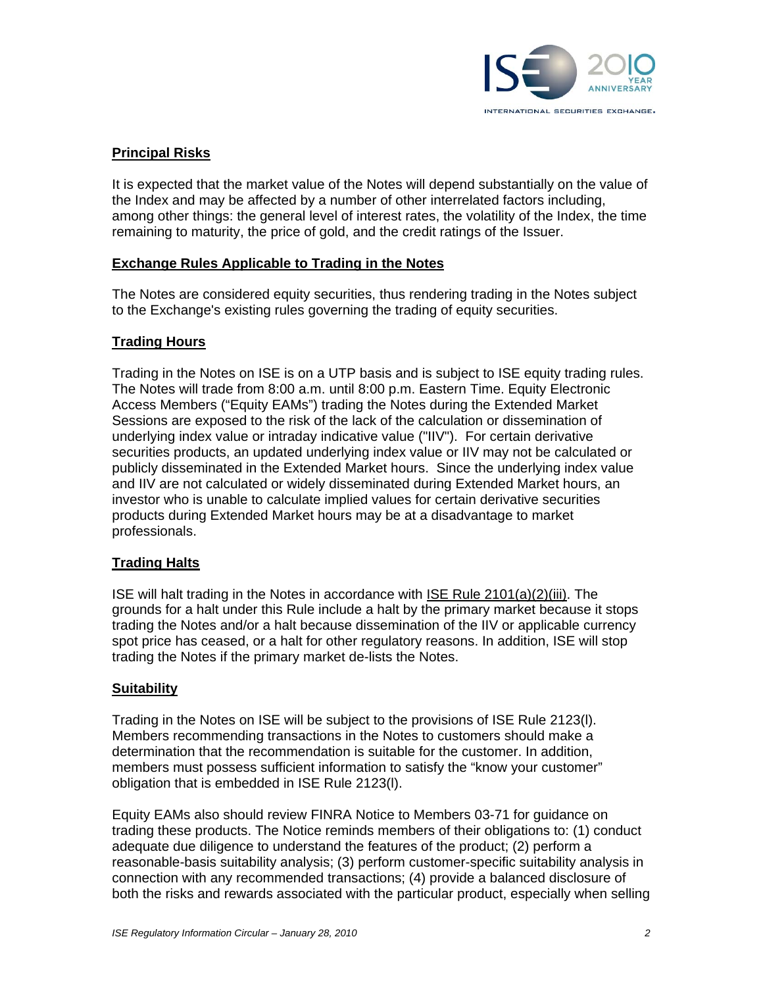

## **Principal Risks**

It is expected that the market value of the Notes will depend substantially on the value of the Index and may be affected by a number of other interrelated factors including, among other things: the general level of interest rates, the volatility of the Index, the time remaining to maturity, the price of gold, and the credit ratings of the Issuer.

#### **Exchange Rules Applicable to Trading in the Notes**

The Notes are considered equity securities, thus rendering trading in the Notes subject to the Exchange's existing rules governing the trading of equity securities.

## **Trading Hours**

Trading in the Notes on ISE is on a UTP basis and is subject to ISE equity trading rules. The Notes will trade from 8:00 a.m. until 8:00 p.m. Eastern Time. Equity Electronic Access Members ("Equity EAMs") trading the Notes during the Extended Market Sessions are exposed to the risk of the lack of the calculation or dissemination of underlying index value or intraday indicative value ("IIV"). For certain derivative securities products, an updated underlying index value or IIV may not be calculated or publicly disseminated in the Extended Market hours. Since the underlying index value and IIV are not calculated or widely disseminated during Extended Market hours, an investor who is unable to calculate implied values for certain derivative securities products during Extended Market hours may be at a disadvantage to market professionals.

## **Trading Halts**

ISE will halt trading in the Notes in accordance with ISE Rule 2101(a)(2)(iii). The grounds for a halt under this Rule include a halt by the primary market because it stops trading the Notes and/or a halt because dissemination of the IIV or applicable currency spot price has ceased, or a halt for other regulatory reasons. In addition, ISE will stop trading the Notes if the primary market de-lists the Notes.

#### **Suitability**

Trading in the Notes on ISE will be subject to the provisions of ISE Rule 2123(l). Members recommending transactions in the Notes to customers should make a determination that the recommendation is suitable for the customer. In addition, members must possess sufficient information to satisfy the "know your customer" obligation that is embedded in ISE Rule 2123(l).

Equity EAMs also should review FINRA Notice to Members 03-71 for guidance on trading these products. The Notice reminds members of their obligations to: (1) conduct adequate due diligence to understand the features of the product; (2) perform a reasonable-basis suitability analysis; (3) perform customer-specific suitability analysis in connection with any recommended transactions; (4) provide a balanced disclosure of both the risks and rewards associated with the particular product, especially when selling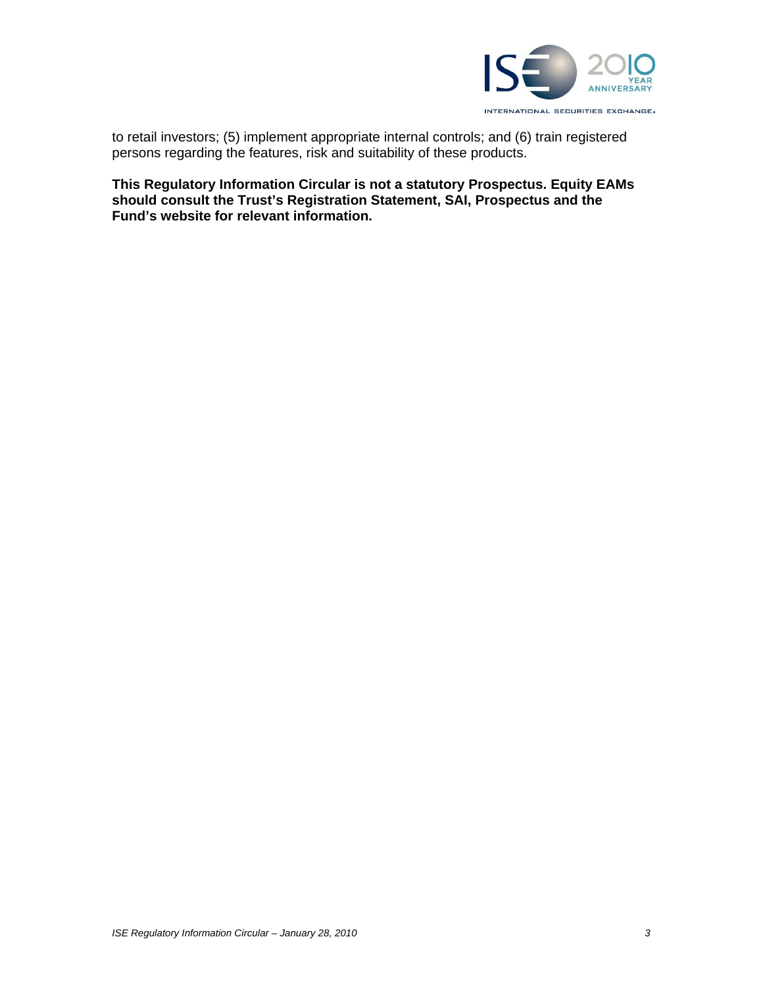

to retail investors; (5) implement appropriate internal controls; and (6) train registered persons regarding the features, risk and suitability of these products.

**This Regulatory Information Circular is not a statutory Prospectus. Equity EAMs should consult the Trust's Registration Statement, SAI, Prospectus and the Fund's website for relevant information.**